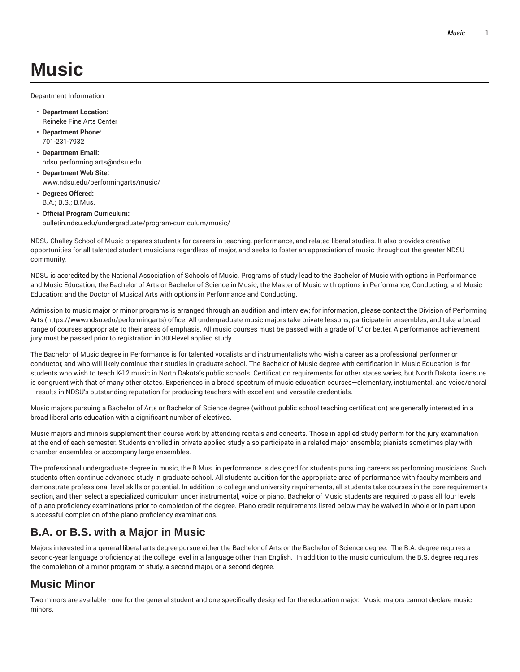# **Music**

Department Information

- **Department Location:** Reineke Fine Arts Center
- **Department Phone:** 701-231-7932
- **Department Email:** ndsu.performing.arts@ndsu.edu
- **Department Web Site:** www.ndsu.edu/performingarts/music/
- **Degrees Offered:** B.A.; B.S.; B.Mus.
- **Official Program Curriculum:** bulletin.ndsu.edu/undergraduate/program-curriculum/music/

NDSU Challey School of Music prepares students for careers in teaching, performance, and related liberal studies. It also provides creative opportunities for all talented student musicians regardless of major, and seeks to foster an appreciation of music throughout the greater NDSU community.

NDSU is accredited by the National Association of Schools of Music. Programs of study lead to the Bachelor of Music with options in Performance and Music Education; the Bachelor of Arts or Bachelor of Science in Music; the Master of Music with options in Performance, Conducting, and Music Education; and the Doctor of Musical Arts with options in Performance and Conducting.

Admission to music major or minor programs is arranged through an audition and interview; for information, please contact the Division of Performing Arts (https://www.ndsu.edu/performingarts) office. All undergraduate music majors take private lessons, participate in ensembles, and take a broad range of courses appropriate to their areas of emphasis. All music courses must be passed with a grade of 'C' or better. A performance achievement jury must be passed prior to registration in 300-level applied study.

The Bachelor of Music degree in Performance is for talented vocalists and instrumentalists who wish a career as a professional performer or conductor, and who will likely continue their studies in graduate school. The Bachelor of Music degree with certification in Music Education is for students who wish to teach K-12 music in North Dakota's public schools. Certification requirements for other states varies, but North Dakota licensure is congruent with that of many other states. Experiences in a broad spectrum of music education courses—elementary, instrumental, and voice/choral —results in NDSU's outstanding reputation for producing teachers with excellent and versatile credentials.

Music majors pursuing a Bachelor of Arts or Bachelor of Science degree (without public school teaching certification) are generally interested in a broad liberal arts education with a significant number of electives.

Music majors and minors supplement their course work by attending recitals and concerts. Those in applied study perform for the jury examination at the end of each semester. Students enrolled in private applied study also participate in a related major ensemble; pianists sometimes play with chamber ensembles or accompany large ensembles.

The professional undergraduate degree in music, the B.Mus. in performance is designed for students pursuing careers as performing musicians. Such students often continue advanced study in graduate school. All students audition for the appropriate area of performance with faculty members and demonstrate professional level skills or potential. In addition to college and university requirements, all students take courses in the core requirements section, and then select a specialized curriculum under instrumental, voice or piano. Bachelor of Music students are required to pass all four levels of piano proficiency examinations prior to completion of the degree. Piano credit requirements listed below may be waived in whole or in part upon successful completion of the piano proficiency examinations.

# **B.A. or B.S. with a Major in Music**

Majors interested in a general liberal arts degree pursue either the Bachelor of Arts or the Bachelor of Science degree. The B.A. degree requires a second-year language proficiency at the college level in a language other than English. In addition to the music curriculum, the B.S. degree requires the completion of a minor program of study, a second major, or a second degree.

# **Music Minor**

Two minors are available - one for the general student and one specifically designed for the education major. Music majors cannot declare music minors.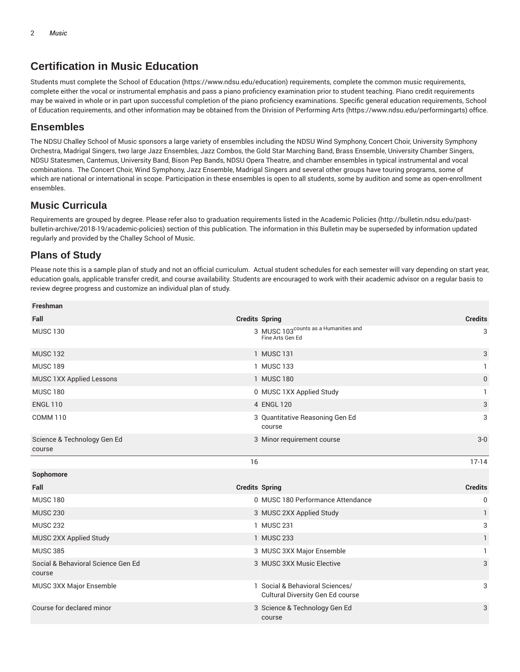## **Certification in Music Education**

Students must complete the School of Education (https://www.ndsu.edu/education) requirements, complete the common music requirements, complete either the vocal or instrumental emphasis and pass a piano proficiency examination prior to student teaching. Piano credit requirements may be waived in whole or in part upon successful completion of the piano proficiency examinations. Specific general education requirements, School of Education requirements, and other information may be obtained from the Division of Performing Arts (https://www.ndsu.edu/performingarts) office.

### **Ensembles**

The NDSU Challey School of Music sponsors a large variety of ensembles including the NDSU Wind Symphony, Concert Choir, University Symphony Orchestra, Madrigal Singers, two large Jazz Ensembles, Jazz Combos, the Gold Star Marching Band, Brass Ensemble, University Chamber Singers, NDSU Statesmen, Cantemus, University Band, Bison Pep Bands, NDSU Opera Theatre, and chamber ensembles in typical instrumental and vocal combinations. The Concert Choir, Wind Symphony, Jazz Ensemble, Madrigal Singers and several other groups have touring programs, some of which are national or international in scope. Participation in these ensembles is open to all students, some by audition and some as open-enrollment ensembles.

## **Music Curricula**

Requirements are grouped by degree. Please refer also to graduation requirements listed in the Academic Policies (http://bulletin.ndsu.edu/pastbulletin-archive/2018-19/academic-policies) section of this publication. The information in this Bulletin may be superseded by information updated regularly and provided by the Challey School of Music.

## **Plans of Study**

Please note this is a sample plan of study and not an official curriculum. Actual student schedules for each semester will vary depending on start year, education goals, applicable transfer credit, and course availability. Students are encouraged to work with their academic advisor on a regular basis to review degree progress and customize an individual plan of study.

| <b>Freshman</b>                              |    |                                                                      |                |
|----------------------------------------------|----|----------------------------------------------------------------------|----------------|
| Fall                                         |    | <b>Credits Spring</b>                                                | <b>Credits</b> |
| <b>MUSC 130</b>                              |    | 3 MUSC 103 <sup>counts</sup> as a Humanities and<br>Fine Arts Gen Ed | 3              |
| <b>MUSC 132</b>                              |    | 1 MUSC 131                                                           | 3              |
| <b>MUSC 189</b>                              |    | 1 MUSC 133                                                           | $\mathbf{1}$   |
| MUSC 1XX Applied Lessons                     |    | 1 MUSC 180                                                           | 0              |
| <b>MUSC 180</b>                              |    | 0 MUSC 1XX Applied Study                                             | 1              |
| <b>ENGL 110</b>                              |    | 4 ENGL 120                                                           | 3              |
| <b>COMM 110</b>                              |    | 3 Quantitative Reasoning Gen Ed<br>course                            | 3              |
| Science & Technology Gen Ed<br>course        |    | 3 Minor requirement course                                           | $3-0$          |
|                                              | 16 |                                                                      | $17-14$        |
| Sophomore                                    |    |                                                                      |                |
| Fall                                         |    | <b>Credits Spring</b>                                                | <b>Credits</b> |
| <b>MUSC 180</b>                              |    | 0 MUSC 180 Performance Attendance                                    | 0              |
| <b>MUSC 230</b>                              |    | 3 MUSC 2XX Applied Study                                             | 1              |
| <b>MUSC 232</b>                              |    | 1 MUSC 231                                                           | 3              |
| MUSC 2XX Applied Study                       |    | 1 MUSC 233                                                           | 1              |
| <b>MUSC 385</b>                              |    | 3 MUSC 3XX Major Ensemble                                            | 1              |
| Social & Behavioral Science Gen Ed<br>course |    | 3 MUSC 3XX Music Elective                                            | 3              |
| MUSC 3XX Major Ensemble                      |    | 1 Social & Behavioral Sciences/<br>Cultural Diversity Gen Ed course  | 3              |
| Course for declared minor                    |    | 3 Science & Technology Gen Ed<br>course                              | 3              |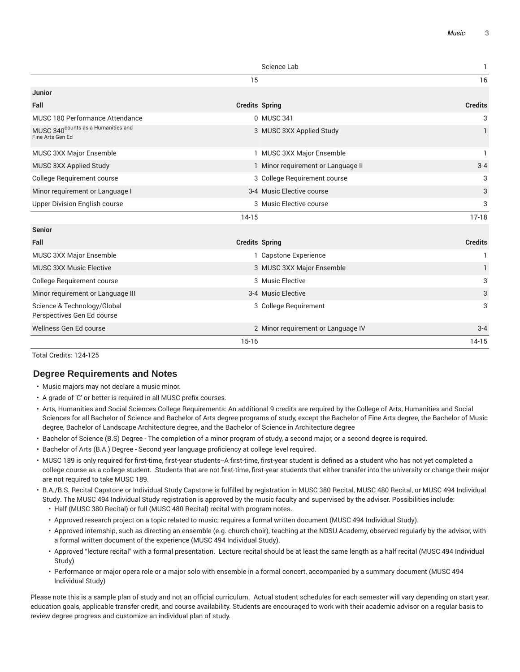|                                                                    |                       | Science Lab                        | 1              |
|--------------------------------------------------------------------|-----------------------|------------------------------------|----------------|
|                                                                    | 15                    |                                    | 16             |
| <b>Junior</b>                                                      |                       |                                    |                |
| Fall                                                               | <b>Credits Spring</b> |                                    | <b>Credits</b> |
| MUSC 180 Performance Attendance                                    |                       | 0 MUSC 341                         | 3              |
| MUSC 340 <sup>counts</sup> as a Humanities and<br>Fine Arts Gen Ed |                       | 3 MUSC 3XX Applied Study           | 1              |
| MUSC 3XX Major Ensemble                                            |                       | 1 MUSC 3XX Major Ensemble          | 1              |
| MUSC 3XX Applied Study                                             |                       | 1 Minor requirement or Language II | $3 - 4$        |
| College Requirement course                                         |                       | 3 College Requirement course       | 3              |
| Minor requirement or Language I                                    |                       | 3-4 Music Elective course          | 3              |
| <b>Upper Division English course</b>                               |                       | 3 Music Elective course            | 3              |
|                                                                    | $14-15$               |                                    | $17-18$        |
| <b>Senior</b>                                                      |                       |                                    |                |
| Fall                                                               | <b>Credits Spring</b> |                                    | <b>Credits</b> |
| MUSC 3XX Major Ensemble                                            |                       | 1 Capstone Experience              | 1              |
| <b>MUSC 3XX Music Elective</b>                                     |                       | 3 MUSC 3XX Major Ensemble          | 1              |
| College Requirement course                                         |                       | 3 Music Elective                   | 3              |
| Minor requirement or Language III                                  |                       | 3-4 Music Elective                 | 3              |
| Science & Technology/Global<br>Perspectives Gen Ed course          |                       | 3 College Requirement              | 3              |
| Wellness Gen Ed course                                             |                       | 2 Minor requirement or Language IV | $3 - 4$        |
|                                                                    | $15 - 16$             |                                    | $14-15$        |

Total Credits: 124-125

#### **Degree Requirements and Notes**

- Music majors may not declare a music minor.
- A grade of 'C' or better is required in all MUSC prefix courses.
- Arts, Humanities and Social Sciences College Requirements: An additional 9 credits are required by the College of Arts, Humanities and Social Sciences for all Bachelor of Science and Bachelor of Arts degree programs of study, except the Bachelor of Fine Arts degree, the Bachelor of Music degree, Bachelor of Landscape Architecture degree, and the Bachelor of Science in Architecture degree
- Bachelor of Science (B.S) Degree The completion of a minor program of study, a second major, or a second degree is required.
- Bachelor of Arts (B.A.) Degree Second year language proficiency at college level required.
- MUSC 189 is only required for first-time, first-year students--A first-time, first-year student is defined as a student who has not yet completed a college course as a college student. Students that are not first-time, first-year students that either transfer into the university or change their major are not required to take MUSC 189.
- B.A./B.S. Recital Capstone or Individual Study Capstone is fulfilled by registration in MUSC 380 Recital, MUSC 480 Recital, or MUSC 494 Individual Study. The MUSC 494 Individual Study registration is approved by the music faculty and supervised by the adviser. Possibilities include:
	- Half (MUSC 380 Recital) or full (MUSC 480 Recital) recital with program notes.
	- Approved research project on a topic related to music; requires a formal written document (MUSC 494 Individual Study).
	- Approved internship, such as directing an ensemble (e.g. church choir), teaching at the NDSU Academy, observed regularly by the advisor, with a formal written document of the experience (MUSC 494 Individual Study).
	- Approved "lecture recital" with a formal presentation. Lecture recital should be at least the same length as a half recital (MUSC 494 Individual Study)
	- Performance or major opera role or a major solo with ensemble in a formal concert, accompanied by a summary document (MUSC 494 Individual Study)

Please note this is a sample plan of study and not an official curriculum. Actual student schedules for each semester will vary depending on start year, education goals, applicable transfer credit, and course availability. Students are encouraged to work with their academic advisor on a regular basis to review degree progress and customize an individual plan of study.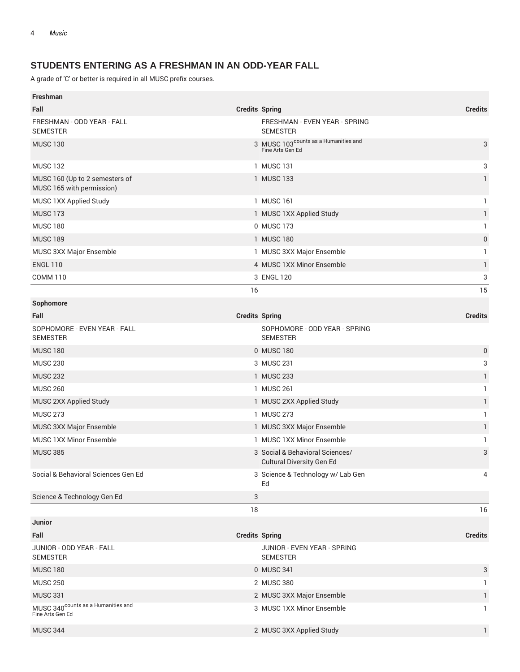## **STUDENTS ENTERING AS A FRESHMAN IN AN ODD-YEAR FALL**

| <b>Freshman</b>                                                    |                       |                                                                      |                |
|--------------------------------------------------------------------|-----------------------|----------------------------------------------------------------------|----------------|
| Fall                                                               | <b>Credits Spring</b> |                                                                      | <b>Credits</b> |
| FRESHMAN - ODD YEAR - FALL<br><b>SEMESTER</b>                      |                       | FRESHMAN - EVEN YEAR - SPRING<br><b>SEMESTER</b>                     |                |
| <b>MUSC 130</b>                                                    |                       | 3 MUSC 103 <sup>counts</sup> as a Humanities and<br>Fine Arts Gen Ed | 3              |
| <b>MUSC 132</b>                                                    |                       | 1 MUSC 131                                                           | 3              |
| MUSC 160 (Up to 2 semesters of<br>MUSC 165 with permission)        |                       | 1 MUSC 133                                                           | 1              |
| MUSC 1XX Applied Study                                             |                       | 1 MUSC 161                                                           | 1              |
| <b>MUSC 173</b>                                                    |                       | 1 MUSC 1XX Applied Study                                             | $\mathbf{1}$   |
| <b>MUSC 180</b>                                                    |                       | 0 MUSC 173                                                           | 1              |
| <b>MUSC 189</b>                                                    |                       | 1 MUSC 180                                                           | $\mathbf 0$    |
| MUSC 3XX Major Ensemble                                            |                       | 1 MUSC 3XX Major Ensemble                                            | 1              |
| <b>ENGL 110</b>                                                    |                       | 4 MUSC 1XX Minor Ensemble                                            | 1              |
| <b>COMM 110</b>                                                    |                       | 3 ENGL 120                                                           | 3              |
|                                                                    | 16                    |                                                                      | 15             |
| Sophomore                                                          |                       |                                                                      |                |
| Fall                                                               | <b>Credits Spring</b> |                                                                      | <b>Credits</b> |
| SOPHOMORE - EVEN YEAR - FALL<br><b>SEMESTER</b>                    |                       | SOPHOMORE - ODD YEAR - SPRING<br><b>SEMESTER</b>                     |                |
| <b>MUSC 180</b>                                                    |                       | 0 MUSC 180                                                           | 0              |
| <b>MUSC 230</b>                                                    |                       | 3 MUSC 231                                                           | 3              |
| <b>MUSC 232</b>                                                    |                       | 1 MUSC 233                                                           | 1              |
| <b>MUSC 260</b>                                                    |                       | 1 MUSC 261                                                           | 1              |
| MUSC 2XX Applied Study                                             |                       | 1 MUSC 2XX Applied Study                                             | 1              |
| <b>MUSC 273</b>                                                    |                       | 1 MUSC 273                                                           | 1              |
| MUSC 3XX Major Ensemble                                            |                       | 1 MUSC 3XX Major Ensemble                                            | 1              |
| MUSC 1XX Minor Ensemble                                            |                       | 1 MUSC 1XX Minor Ensemble                                            | 1              |
| <b>MUSC 385</b>                                                    |                       | 3 Social & Behavioral Sciences/<br><b>Cultural Diversity Gen Ed</b>  | 3              |
| Social & Behavioral Sciences Gen Ed                                |                       | 3 Science & Technology w/ Lab Gen<br>Ed                              | 4              |
| Science & Technology Gen Ed                                        | 3                     |                                                                      |                |
|                                                                    | 18                    |                                                                      | 16             |
| <b>Junior</b>                                                      |                       |                                                                      |                |
| Fall                                                               | <b>Credits Spring</b> |                                                                      | <b>Credits</b> |
| JUNIOR - ODD YEAR - FALL<br><b>SEMESTER</b>                        |                       | JUNIOR - EVEN YEAR - SPRING<br><b>SEMESTER</b>                       |                |
| <b>MUSC 180</b>                                                    |                       | 0 MUSC 341                                                           | 3              |
| <b>MUSC 250</b>                                                    |                       | 2 MUSC 380                                                           | 1              |
| <b>MUSC 331</b>                                                    |                       | 2 MUSC 3XX Major Ensemble                                            | 1              |
| MUSC 340 <sup>counts</sup> as a Humanities and<br>Fine Arts Gen Ed |                       | 3 MUSC 1XX Minor Ensemble                                            | 1              |
| <b>MUSC 344</b>                                                    |                       | 2 MUSC 3XX Applied Study                                             | $\mathbf{1}$   |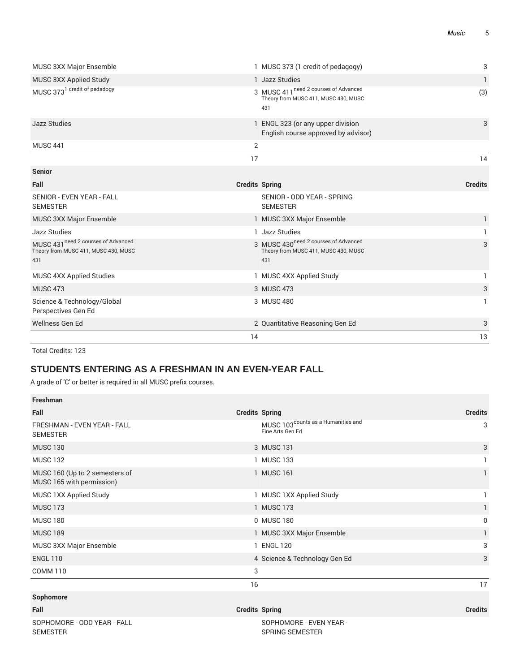| <b>MUSC 3XX Major Ensemble</b>                                                     |                       | 1 MUSC 373 (1 credit of pedagogy)                                                               | 3              |
|------------------------------------------------------------------------------------|-----------------------|-------------------------------------------------------------------------------------------------|----------------|
| MUSC 3XX Applied Study                                                             |                       | 1 Jazz Studies                                                                                  | 1              |
| MUSC 373 <sup>1</sup> credit of pedadogy                                           |                       | 3 MUSC 411 <sup>need 2</sup> courses of Advanced<br>Theory from MUSC 411, MUSC 430, MUSC<br>431 | (3)            |
| <b>Jazz Studies</b>                                                                |                       | 1 ENGL 323 (or any upper division<br>English course approved by advisor)                        | 3              |
| <b>MUSC 441</b>                                                                    | 2                     |                                                                                                 |                |
|                                                                                    | 17                    |                                                                                                 | 14             |
| <b>Senior</b>                                                                      |                       |                                                                                                 |                |
| Fall                                                                               | <b>Credits Spring</b> |                                                                                                 | <b>Credits</b> |
| SENIOR - EVEN YEAR - FALL<br><b>SEMESTER</b>                                       |                       | SENIOR - ODD YEAR - SPRING<br><b>SEMESTER</b>                                                   |                |
| MUSC 3XX Major Ensemble                                                            |                       | 1 MUSC 3XX Major Ensemble                                                                       | 1              |
| Jazz Studies                                                                       |                       | 1 Jazz Studies                                                                                  |                |
| MUSC 431 need 2 courses of Advanced<br>Theory from MUSC 411, MUSC 430, MUSC<br>431 |                       | 3 MUSC 430 <sup>need 2</sup> courses of Advanced<br>Theory from MUSC 411, MUSC 430, MUSC<br>431 | 3              |
| MUSC 4XX Applied Studies                                                           |                       | 1 MUSC 4XX Applied Study                                                                        |                |
| <b>MUSC 473</b>                                                                    |                       | 3 MUSC 473                                                                                      | 3              |
| Science & Technology/Global<br>Perspectives Gen Ed                                 |                       | 3 MUSC 480                                                                                      | 1              |
| Wellness Gen Ed                                                                    |                       | 2 Quantitative Reasoning Gen Ed                                                                 | 3              |
|                                                                                    | 14                    |                                                                                                 | 13             |

## **STUDENTS ENTERING AS A FRESHMAN IN AN EVEN-YEAR FALL**

A grade of 'C' or better is required in all MUSC prefix courses.

| Freshman                                                    |                                                                    |                |
|-------------------------------------------------------------|--------------------------------------------------------------------|----------------|
| Fall                                                        | <b>Credits Spring</b>                                              | <b>Credits</b> |
| FRESHMAN - EVEN YEAR - FALL<br><b>SEMESTER</b>              | MUSC 103 <sup>counts</sup> as a Humanities and<br>Fine Arts Gen Ed | 3              |
| <b>MUSC 130</b>                                             | 3 MUSC 131                                                         | 3              |
| <b>MUSC 132</b>                                             | 1 MUSC 133                                                         |                |
| MUSC 160 (Up to 2 semesters of<br>MUSC 165 with permission) | 1 MUSC 161                                                         |                |
| MUSC 1XX Applied Study                                      | 1 MUSC 1XX Applied Study                                           |                |
| <b>MUSC 173</b>                                             | 1 MUSC 173                                                         |                |
| <b>MUSC 180</b>                                             | 0 MUSC 180                                                         | 0              |
| <b>MUSC 189</b>                                             | 1 MUSC 3XX Major Ensemble                                          |                |
| MUSC 3XX Major Ensemble                                     | 1 ENGL 120                                                         | 3              |
| <b>ENGL 110</b>                                             | 4 Science & Technology Gen Ed                                      | 3              |
| <b>COMM 110</b>                                             | 3                                                                  |                |
|                                                             | 16                                                                 | 17             |

#### **Sophomore**

| Fall                                    | <b>Credits Spring</b>                             | <b>Credits</b> |
|-----------------------------------------|---------------------------------------------------|----------------|
| SOPHOMORE - ODD YEAR - FALL<br>SEMESTER | SOPHOMORE - EVEN YEAR -<br><b>SPRING SEMESTER</b> |                |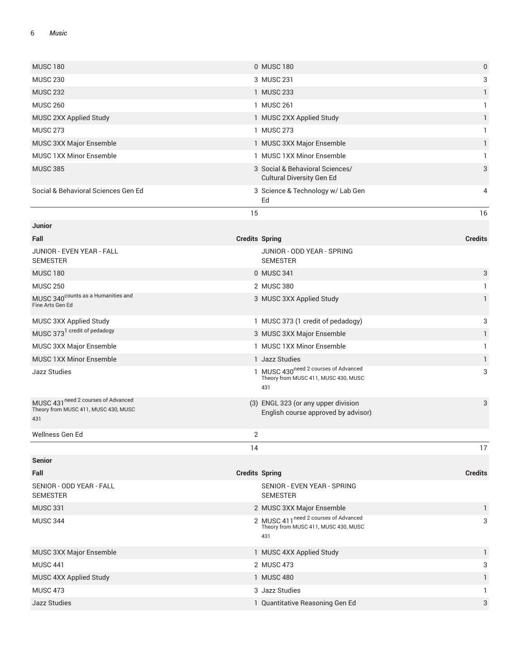#### 6 *Music*

| <b>MUSC 180</b>                                                                    |                       | 0 MUSC 180                                                                                      | $\pmb{0}$      |
|------------------------------------------------------------------------------------|-----------------------|-------------------------------------------------------------------------------------------------|----------------|
| <b>MUSC 230</b>                                                                    |                       | 3 MUSC 231                                                                                      | 3              |
| <b>MUSC 232</b>                                                                    |                       | 1 MUSC 233                                                                                      | 1              |
| <b>MUSC 260</b>                                                                    |                       | 1 MUSC 261                                                                                      | 1              |
| MUSC 2XX Applied Study                                                             |                       | 1 MUSC 2XX Applied Study                                                                        | 1              |
| <b>MUSC 273</b>                                                                    |                       | 1 MUSC 273                                                                                      | 1              |
| MUSC 3XX Major Ensemble                                                            |                       | 1 MUSC 3XX Major Ensemble                                                                       | 1              |
| <b>MUSC 1XX Minor Ensemble</b>                                                     |                       | 1 MUSC 1XX Minor Ensemble                                                                       | 1              |
| <b>MUSC 385</b>                                                                    |                       | 3 Social & Behavioral Sciences/<br><b>Cultural Diversity Gen Ed</b>                             | 3              |
| Social & Behavioral Sciences Gen Ed                                                |                       | 3 Science & Technology w/ Lab Gen<br>Ed                                                         | 4              |
|                                                                                    | 15                    |                                                                                                 | 16             |
| <b>Junior</b>                                                                      |                       |                                                                                                 |                |
| Fall                                                                               | <b>Credits Spring</b> |                                                                                                 | <b>Credits</b> |
| JUNIOR - EVEN YEAR - FALL<br><b>SEMESTER</b>                                       |                       | JUNIOR - ODD YEAR - SPRING<br><b>SEMESTER</b>                                                   |                |
| <b>MUSC 180</b>                                                                    |                       | 0 MUSC 341                                                                                      | 3              |
| <b>MUSC 250</b>                                                                    |                       | 2 MUSC 380                                                                                      | 1              |
| MUSC 340 <sup>counts</sup> as a Humanities and<br>Fine Arts Gen Ed                 |                       | 3 MUSC 3XX Applied Study                                                                        | 1              |
| MUSC 3XX Applied Study                                                             |                       | 1 MUSC 373 (1 credit of pedadogy)                                                               | 3              |
| MUSC 373 <sup>1</sup> credit of pedadogy                                           |                       | 3 MUSC 3XX Major Ensemble                                                                       | 1              |
| MUSC 3XX Major Ensemble                                                            |                       | 1 MUSC 1XX Minor Ensemble                                                                       | 1              |
| <b>MUSC 1XX Minor Ensemble</b>                                                     |                       | 1 Jazz Studies                                                                                  | $\mathbf{1}$   |
| Jazz Studies                                                                       |                       | 1 MUSC 430 <sup>need 2</sup> courses of Advanced<br>Theory from MUSC 411, MUSC 430, MUSC<br>431 | 3              |
| MUSC 431 need 2 courses of Advanced<br>Theory from MUSC 411, MUSC 430, MUSC<br>431 |                       | (3) ENGL 323 (or any upper division<br>English course approved by advisor)                      | 3              |
| Wellness Gen Ed                                                                    | 2                     |                                                                                                 |                |
|                                                                                    | 14                    |                                                                                                 | 17             |
| <b>Senior</b>                                                                      |                       |                                                                                                 |                |
| Fall                                                                               | <b>Credits Spring</b> |                                                                                                 | <b>Credits</b> |
| SENIOR - ODD YEAR - FALL<br><b>SEMESTER</b>                                        |                       | SENIOR - EVEN YEAR - SPRING<br><b>SEMESTER</b>                                                  |                |
| <b>MUSC 331</b>                                                                    |                       | 2 MUSC 3XX Major Ensemble                                                                       | $\mathbf{1}$   |
| <b>MUSC 344</b>                                                                    |                       | 2 MUSC 411 <sup>need 2</sup> courses of Advanced<br>Theory from MUSC 411, MUSC 430, MUSC<br>431 | 3              |
| MUSC 3XX Major Ensemble                                                            |                       | 1 MUSC 4XX Applied Study                                                                        | $\mathbf{1}$   |
| <b>MUSC 441</b>                                                                    |                       | 2 MUSC 473                                                                                      | 3              |
| MUSC 4XX Applied Study                                                             |                       | 1 MUSC 480                                                                                      | 1              |
| <b>MUSC 473</b>                                                                    |                       | 3 Jazz Studies                                                                                  | 1              |
| Jazz Studies                                                                       |                       | 1 Quantitative Reasoning Gen Ed                                                                 | 3              |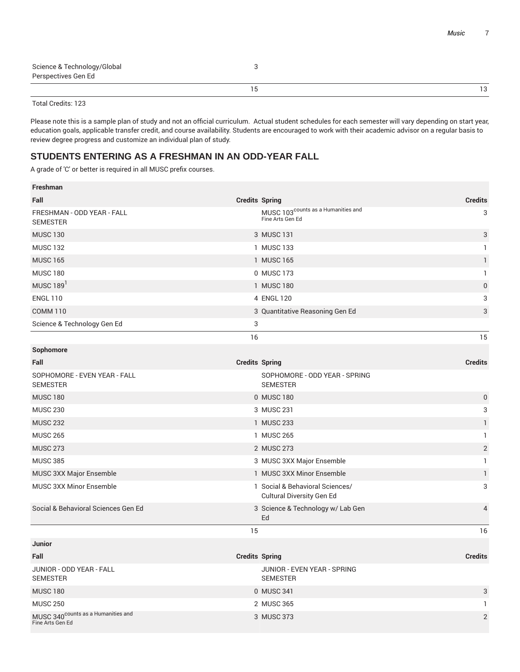|                             | 13 |
|-----------------------------|----|
| Perspectives Gen Ed         |    |
| Science & Technology/Global |    |
|                             |    |

Please note this is a sample plan of study and not an official curriculum. Actual student schedules for each semester will vary depending on start year, education goals, applicable transfer credit, and course availability. Students are encouraged to work with their academic advisor on a regular basis to review degree progress and customize an individual plan of study.

#### **STUDENTS ENTERING AS A FRESHMAN IN AN ODD-YEAR FALL**

| <b>Freshman</b>                                                    |                       |                                                                    |                |
|--------------------------------------------------------------------|-----------------------|--------------------------------------------------------------------|----------------|
| Fall                                                               | <b>Credits Spring</b> |                                                                    | <b>Credits</b> |
| FRESHMAN - ODD YEAR - FALL<br><b>SEMESTER</b>                      |                       | MUSC 103 <sup>counts</sup> as a Humanities and<br>Fine Arts Gen Ed | 3              |
| <b>MUSC 130</b>                                                    |                       | 3 MUSC 131                                                         | 3              |
| <b>MUSC 132</b>                                                    |                       | 1 MUSC 133                                                         | $\mathbf{1}$   |
| <b>MUSC 165</b>                                                    |                       | 1 MUSC 165                                                         | $\mathbf{1}$   |
| <b>MUSC 180</b>                                                    |                       | 0 MUSC 173                                                         | 1              |
| MUSC 189 <sup>1</sup>                                              |                       | 1 MUSC 180                                                         | $\pmb{0}$      |
| <b>ENGL 110</b>                                                    |                       | 4 ENGL 120                                                         | 3              |
| <b>COMM 110</b>                                                    |                       | 3 Quantitative Reasoning Gen Ed                                    | 3              |
| Science & Technology Gen Ed                                        | 3                     |                                                                    |                |
|                                                                    | 16                    |                                                                    | 15             |
| Sophomore                                                          |                       |                                                                    |                |
| Fall                                                               | <b>Credits Spring</b> |                                                                    | <b>Credits</b> |
| SOPHOMORE - EVEN YEAR - FALL<br><b>SEMESTER</b>                    |                       | SOPHOMORE - ODD YEAR - SPRING<br><b>SEMESTER</b>                   |                |
| <b>MUSC 180</b>                                                    |                       | 0 MUSC 180                                                         | $\mathbf 0$    |
| <b>MUSC 230</b>                                                    |                       | 3 MUSC 231                                                         | 3              |
| <b>MUSC 232</b>                                                    |                       | 1 MUSC 233                                                         | $\mathbf{1}$   |
| <b>MUSC 265</b>                                                    |                       | 1 MUSC 265                                                         | $\mathbf{1}$   |
| <b>MUSC 273</b>                                                    |                       | 2 MUSC 273                                                         | $\sqrt{2}$     |
| <b>MUSC 385</b>                                                    |                       | 3 MUSC 3XX Major Ensemble                                          | $\mathbf{1}$   |
| MUSC 3XX Major Ensemble                                            |                       | 1 MUSC 3XX Minor Ensemble                                          | $\mathbf{1}$   |
| MUSC 3XX Minor Ensemble                                            |                       | 1 Social & Behavioral Sciences/<br>Cultural Diversity Gen Ed       | 3              |
| Social & Behavioral Sciences Gen Ed                                |                       | 3 Science & Technology w/ Lab Gen<br>Ed                            | $\overline{4}$ |
|                                                                    | 15                    |                                                                    | 16             |
| <b>Junior</b>                                                      |                       |                                                                    |                |
| Fall                                                               | <b>Credits Spring</b> |                                                                    | <b>Credits</b> |
| JUNIOR - ODD YEAR - FALL<br><b>SEMESTER</b>                        |                       | JUNIOR - EVEN YEAR - SPRING<br><b>SEMESTER</b>                     |                |
| <b>MUSC 180</b>                                                    |                       | 0 MUSC 341                                                         | 3              |
| <b>MUSC 250</b>                                                    |                       | 2 MUSC 365                                                         | $\mathbf{1}$   |
| MUSC 340 <sup>counts</sup> as a Humanities and<br>Fine Arts Gen Ed |                       | 3 MUSC 373                                                         | $\overline{2}$ |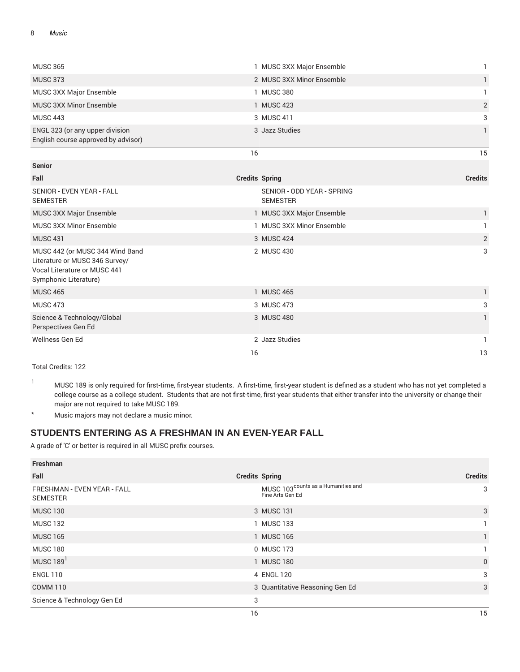| <b>MUSC 365</b>                                                                                                            |                       | 1 MUSC 3XX Major Ensemble                     | 1              |
|----------------------------------------------------------------------------------------------------------------------------|-----------------------|-----------------------------------------------|----------------|
| <b>MUSC 373</b>                                                                                                            |                       | 2 MUSC 3XX Minor Ensemble                     | $\mathbf{1}$   |
|                                                                                                                            |                       |                                               |                |
| MUSC 3XX Major Ensemble                                                                                                    |                       | 1 MUSC 380                                    | 1              |
| <b>MUSC 3XX Minor Ensemble</b>                                                                                             |                       | 1 MUSC 423                                    | $\sqrt{2}$     |
| <b>MUSC 443</b>                                                                                                            |                       | 3 MUSC 411                                    | 3              |
| ENGL 323 (or any upper division<br>English course approved by advisor)                                                     |                       | 3 Jazz Studies                                | $\mathbf{1}$   |
|                                                                                                                            | 16                    |                                               | 15             |
| <b>Senior</b>                                                                                                              |                       |                                               |                |
| Fall                                                                                                                       | <b>Credits Spring</b> |                                               | <b>Credits</b> |
| SENIOR - EVEN YEAR - FALL<br><b>SEMESTER</b>                                                                               |                       | SENIOR - ODD YEAR - SPRING<br><b>SEMESTER</b> |                |
| MUSC 3XX Major Ensemble                                                                                                    |                       | 1 MUSC 3XX Major Ensemble                     | $\mathbf{1}$   |
| <b>MUSC 3XX Minor Ensemble</b>                                                                                             |                       | 1 MUSC 3XX Minor Ensemble                     | 1              |
| <b>MUSC 431</b>                                                                                                            |                       | 3 MUSC 424                                    | $\mathbf{2}$   |
| MUSC 442 (or MUSC 344 Wind Band<br>Literature or MUSC 346 Survey/<br>Vocal Literature or MUSC 441<br>Symphonic Literature) |                       | 2 MUSC 430                                    | 3              |
| <b>MUSC 465</b>                                                                                                            |                       | 1 MUSC 465                                    | $\mathbf{1}$   |
| <b>MUSC 473</b>                                                                                                            |                       | 3 MUSC 473                                    | 3              |
| Science & Technology/Global<br>Perspectives Gen Ed                                                                         |                       | 3 MUSC 480                                    | $\mathbf{1}$   |
| Wellness Gen Ed                                                                                                            |                       | 2 Jazz Studies                                | 1              |
|                                                                                                                            | 16                    |                                               | 13             |

 $1 - 1$  MUSC 189 is only required for first-time, first-year students. A first-time, first-year student is defined as a student who has not yet completed a college course as a college student. Students that are not first-time, first-year students that either transfer into the university or change their major are not required to take MUSC 189.

\* Music majors may not declare a music minor.

#### **STUDENTS ENTERING AS A FRESHMAN IN AN EVEN-YEAR FALL**

| Freshman                                       |                                                                    |                |
|------------------------------------------------|--------------------------------------------------------------------|----------------|
| Fall                                           | <b>Credits Spring</b>                                              | <b>Credits</b> |
| FRESHMAN - EVEN YEAR - FALL<br><b>SEMESTER</b> | MUSC 103 <sup>counts</sup> as a Humanities and<br>Fine Arts Gen Ed | 3              |
| <b>MUSC 130</b>                                | 3 MUSC 131                                                         | 3              |
| <b>MUSC 132</b>                                | 1 MUSC 133                                                         |                |
| <b>MUSC 165</b>                                | 1 MUSC 165                                                         | 1              |
| <b>MUSC 180</b>                                | 0 MUSC 173                                                         |                |
| MUSC 189 <sup>1</sup>                          | 1 MUSC 180                                                         | $\mathbf{0}$   |
| <b>ENGL 110</b>                                | 4 ENGL 120                                                         | 3              |
| <b>COMM 110</b>                                | 3 Quantitative Reasoning Gen Ed                                    | 3              |
| Science & Technology Gen Ed                    | 3                                                                  |                |
|                                                | 16                                                                 | 15             |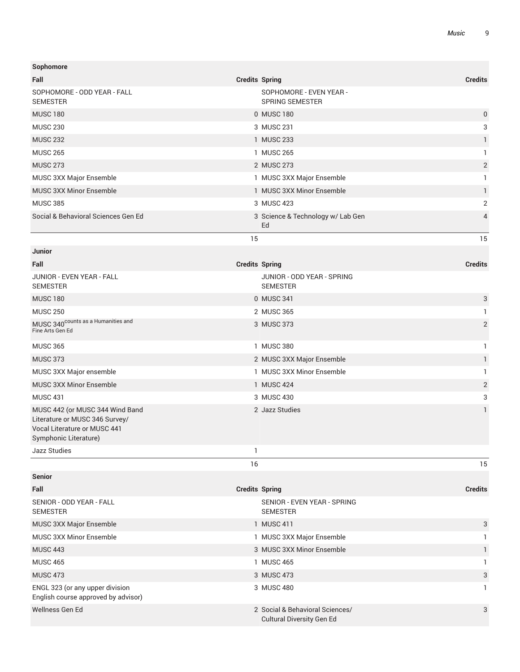| Sophomore                                      |                                                   |                |
|------------------------------------------------|---------------------------------------------------|----------------|
| Fall                                           | <b>Credits Spring</b>                             | <b>Credits</b> |
| SOPHOMORE - ODD YEAR - FALL<br><b>SEMESTER</b> | SOPHOMORE - EVEN YEAR -<br><b>SPRING SEMESTER</b> |                |
| <b>MUSC 180</b>                                | 0 MUSC 180                                        | $\mathbf 0$    |
| <b>MUSC 230</b>                                | 3 MUSC 231                                        | 3              |
| <b>MUSC 232</b>                                | 1 MUSC 233                                        |                |
| <b>MUSC 265</b>                                | <b>MUSC 265</b>                                   |                |
| <b>MUSC 273</b>                                | 2 MUSC 273                                        | $\overline{2}$ |
| MUSC 3XX Major Ensemble                        | 1 MUSC 3XX Major Ensemble                         |                |
| MUSC 3XX Minor Ensemble                        | 1 MUSC 3XX Minor Ensemble                         | 1              |
| <b>MUSC 385</b>                                | 3 MUSC 423                                        | $\overline{2}$ |
| Social & Behavioral Sciences Gen Ed            | 3 Science & Technology w/ Lab Gen<br>Ed           | $\overline{4}$ |
|                                                | 15                                                | 15             |
| <b>Junior</b>                                  |                                                   |                |

| <b>Credits Spring</b>                         | <b>Credits</b> |
|-----------------------------------------------|----------------|
| JUNIOR - ODD YEAR - SPRING<br><b>SEMESTER</b> |                |
| 0 MUSC 341                                    | 3              |
| 2 MUSC 365                                    |                |
| 3 MUSC 373                                    | 2              |
| MUSC 380                                      |                |
| 2 MUSC 3XX Major Ensemble                     |                |
| 1 MUSC 3XX Minor Ensemble                     |                |
| 1 MUSC 424                                    | 2              |
| 3 MUSC 430                                    | 3              |
| 2 Jazz Studies                                |                |
|                                               |                |
|                                               |                |

| <b>Senior</b>                                                          |                                                                     |                |
|------------------------------------------------------------------------|---------------------------------------------------------------------|----------------|
| Fall                                                                   | <b>Credits Spring</b>                                               | <b>Credits</b> |
| SENIOR - ODD YEAR - FALL<br><b>SEMESTER</b>                            | SENIOR - EVEN YEAR - SPRING<br><b>SEMESTER</b>                      |                |
| <b>MUSC 3XX Major Ensemble</b>                                         | 1 MUSC 411                                                          | 3              |
| <b>MUSC 3XX Minor Ensemble</b>                                         | 1 MUSC 3XX Major Ensemble                                           |                |
| <b>MUSC 443</b>                                                        | 3 MUSC 3XX Minor Ensemble                                           |                |
| <b>MUSC 465</b>                                                        | <b>MUSC 465</b>                                                     |                |
| <b>MUSC 473</b>                                                        | 3 MUSC 473                                                          | 3              |
| ENGL 323 (or any upper division<br>English course approved by advisor) | 3 MUSC 480                                                          |                |
| Wellness Gen Ed                                                        | 2 Social & Behavioral Sciences/<br><b>Cultural Diversity Gen Ed</b> | 3              |

 $16$  and  $15$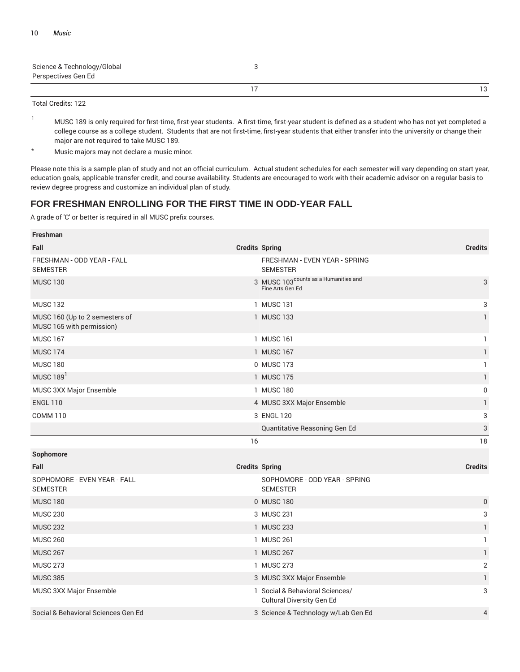| Science & Technology/Global<br>Perspectives Gen Ed |    |
|----------------------------------------------------|----|
|                                                    | 13 |

- <sup>1</sup> MUSC 189 is only required for first-time, first-year students. A first-time, first-year student is defined as a student who has not yet completed a college course as a college student. Students that are not first-time, first-year students that either transfer into the university or change their major are not required to take MUSC 189.
- \* Music majors may not declare a music minor.

Please note this is a sample plan of study and not an official curriculum. Actual student schedules for each semester will vary depending on start year, education goals, applicable transfer credit, and course availability. Students are encouraged to work with their academic advisor on a regular basis to review degree progress and customize an individual plan of study.

#### **FOR FRESHMAN ENROLLING FOR THE FIRST TIME IN ODD-YEAR FALL**

| Freshman                                                    |                                                                      |                |
|-------------------------------------------------------------|----------------------------------------------------------------------|----------------|
| Fall                                                        | <b>Credits Spring</b>                                                | <b>Credits</b> |
| FRESHMAN - ODD YEAR - FALL<br><b>SEMESTER</b>               | FRESHMAN - EVEN YEAR - SPRING<br><b>SEMESTER</b>                     |                |
| <b>MUSC 130</b>                                             | 3 MUSC 103 <sup>counts</sup> as a Humanities and<br>Fine Arts Gen Ed | 3              |
| <b>MUSC 132</b>                                             | 1 MUSC 131                                                           | 3              |
| MUSC 160 (Up to 2 semesters of<br>MUSC 165 with permission) | 1 MUSC 133                                                           | $\mathbf{1}$   |
| <b>MUSC 167</b>                                             | 1 MUSC 161                                                           | $\mathbf{1}$   |
| <b>MUSC 174</b>                                             | 1 MUSC 167                                                           | $\mathbf{1}$   |
| <b>MUSC 180</b>                                             | 0 MUSC 173                                                           | $\mathbf{1}$   |
| MUSC $1891$                                                 | 1 MUSC 175                                                           | 1              |
| MUSC 3XX Major Ensemble                                     | 1 MUSC 180                                                           | $\pmb{0}$      |
| <b>ENGL 110</b>                                             | 4 MUSC 3XX Major Ensemble                                            | 1              |
| <b>COMM 110</b>                                             | 3 ENGL 120                                                           | 3              |
|                                                             |                                                                      |                |
|                                                             | Quantitative Reasoning Gen Ed                                        | 3              |
|                                                             | 16                                                                   | 18             |
| Sophomore                                                   |                                                                      |                |
| Fall                                                        | <b>Credits Spring</b>                                                | <b>Credits</b> |
| SOPHOMORE - EVEN YEAR - FALL<br><b>SEMESTER</b>             | SOPHOMORE - ODD YEAR - SPRING<br><b>SEMESTER</b>                     |                |
| <b>MUSC 180</b>                                             | 0 MUSC 180                                                           | $\pmb{0}$      |
| <b>MUSC 230</b>                                             | 3 MUSC 231                                                           | 3              |
| <b>MUSC 232</b>                                             | 1 MUSC 233                                                           | 1              |
| <b>MUSC 260</b>                                             | 1 MUSC 261                                                           | $\mathbf{1}$   |
| <b>MUSC 267</b>                                             | 1 MUSC 267                                                           | $\mathbf{1}$   |
| <b>MUSC 273</b>                                             | 1 MUSC 273                                                           | $\overline{2}$ |
| <b>MUSC 385</b>                                             | 3 MUSC 3XX Major Ensemble                                            | 1              |
| MUSC 3XX Major Ensemble                                     | 1 Social & Behavioral Sciences/<br><b>Cultural Diversity Gen Ed</b>  | 3              |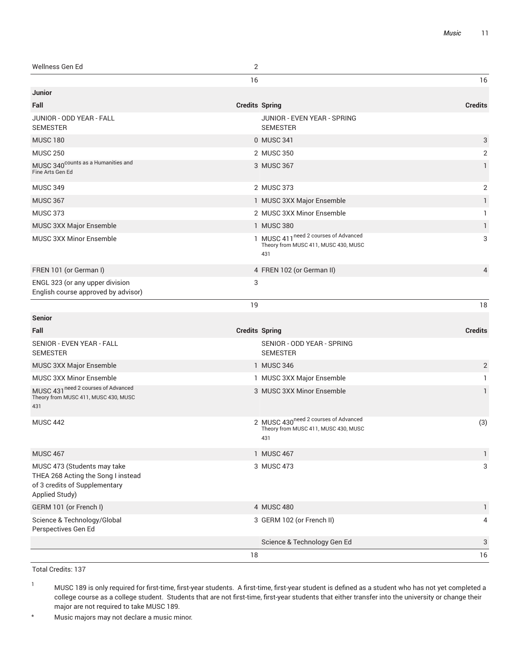| Wellness Gen Ed                             | っ                                              |                |
|---------------------------------------------|------------------------------------------------|----------------|
|                                             | 16                                             | 16             |
| <b>Junior</b>                               |                                                |                |
| Fall                                        | <b>Credits Spring</b>                          | <b>Credits</b> |
| JUNIOR - ODD YEAR - FALL<br><b>SEMESTER</b> | JUNIOR - EVEN YEAR - SPRING<br><b>SEMESTER</b> |                |
| <b>MUSC 180</b>                             | 0 MUSC 341                                     | 3              |

| <b>MUSC 250</b>                                                        | 2 MUSC 350                                                                                      | 2 |
|------------------------------------------------------------------------|-------------------------------------------------------------------------------------------------|---|
| MUSC 340 <sup>counts</sup> as a Humanities and<br>Fine Arts Gen Ed     | 3 MUSC 367                                                                                      |   |
| <b>MUSC 349</b>                                                        | 2 MUSC 373                                                                                      | 2 |
| <b>MUSC 367</b>                                                        | 1 MUSC 3XX Major Ensemble                                                                       |   |
| <b>MUSC 373</b>                                                        | 2 MUSC 3XX Minor Ensemble                                                                       |   |
| <b>MUSC 3XX Major Ensemble</b>                                         | 1 MUSC 380                                                                                      |   |
| <b>MUSC 3XX Minor Ensemble</b>                                         | 1 MUSC 411 <sup>need 2</sup> courses of Advanced<br>Theory from MUSC 411, MUSC 430, MUSC<br>431 | 3 |
| FREN 101 (or German I)                                                 | 4 FREN 102 (or German II)                                                                       | 4 |
| ENGL 323 (or any upper division<br>English course approved by advisor) | 3                                                                                               |   |

19 18

| <b>Senior</b>                                                                                                        |                                                                                                 |                |
|----------------------------------------------------------------------------------------------------------------------|-------------------------------------------------------------------------------------------------|----------------|
| Fall                                                                                                                 | <b>Credits Spring</b>                                                                           | <b>Credits</b> |
| <b>SENIOR - EVEN YEAR - FALL</b><br><b>SEMESTER</b>                                                                  | SENIOR - ODD YEAR - SPRING<br><b>SEMESTER</b>                                                   |                |
| MUSC 3XX Major Ensemble                                                                                              | 1 MUSC 346                                                                                      | $\overline{2}$ |
| <b>MUSC 3XX Minor Ensemble</b>                                                                                       | 1 MUSC 3XX Major Ensemble                                                                       |                |
| MUSC 431 need 2 courses of Advanced<br>Theory from MUSC 411, MUSC 430, MUSC<br>431                                   | 3 MUSC 3XX Minor Ensemble                                                                       |                |
| <b>MUSC 442</b>                                                                                                      | 2 MUSC 430 <sup>need 2</sup> courses of Advanced<br>Theory from MUSC 411, MUSC 430, MUSC<br>431 | (3)            |
| <b>MUSC 467</b>                                                                                                      | 1 MUSC 467                                                                                      | 1              |
| MUSC 473 (Students may take<br>THEA 268 Acting the Song I instead<br>of 3 credits of Supplementary<br>Applied Study) | 3 MUSC 473                                                                                      | 3              |
| GERM 101 (or French I)                                                                                               | 4 MUSC 480                                                                                      | 1              |
| Science & Technology/Global<br>Perspectives Gen Ed                                                                   | 3 GERM 102 (or French II)                                                                       | 4              |
|                                                                                                                      | Science & Technology Gen Ed                                                                     | 3              |
|                                                                                                                      | 18                                                                                              | 16             |

Total Credits: 137

\* Music majors may not declare a music minor.

<sup>&</sup>lt;sup>1</sup> MUSC 189 is only required for first-time, first-year students. A first-time, first-year student is defined as a student who has not yet completed a college course as a college student. Students that are not first-time, first-year students that either transfer into the university or change their major are not required to take MUSC 189.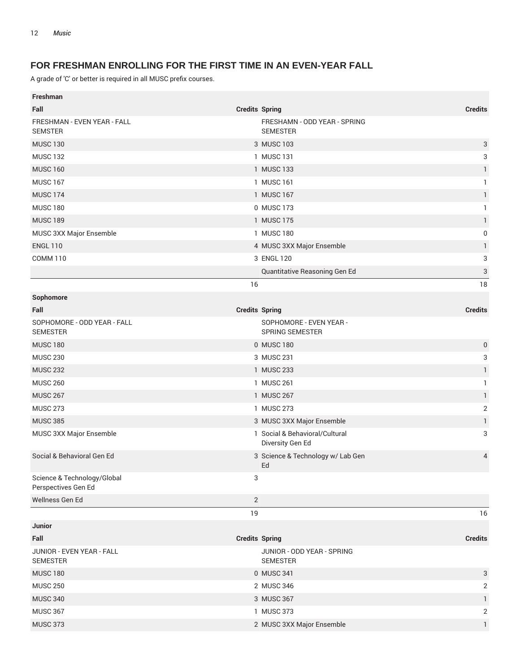## **FOR FRESHMAN ENROLLING FOR THE FIRST TIME IN AN EVEN-YEAR FALL**

| <b>Freshman</b>                                    |                       |                                                    |                           |
|----------------------------------------------------|-----------------------|----------------------------------------------------|---------------------------|
| Fall                                               | <b>Credits Spring</b> |                                                    | <b>Credits</b>            |
| FRESHMAN - EVEN YEAR - FALL<br><b>SEMSTER</b>      |                       | FRESHAMN - ODD YEAR - SPRING<br><b>SEMESTER</b>    |                           |
| <b>MUSC 130</b>                                    |                       | 3 MUSC 103                                         | 3                         |
| <b>MUSC 132</b>                                    |                       | 1 MUSC 131                                         | 3                         |
| <b>MUSC 160</b>                                    |                       | 1 MUSC 133                                         | $\mathbf{1}$              |
| <b>MUSC 167</b>                                    |                       | 1 MUSC 161                                         | $\mathbf{1}$              |
| <b>MUSC 174</b>                                    |                       | 1 MUSC 167                                         | $\mathbf{1}$              |
| <b>MUSC 180</b>                                    |                       | 0 MUSC 173                                         | $\mathbf{1}$              |
| <b>MUSC 189</b>                                    |                       | 1 MUSC 175                                         | $\mathbf{1}$              |
| MUSC 3XX Major Ensemble                            |                       | 1 MUSC 180                                         | 0                         |
| <b>ENGL 110</b>                                    |                       | 4 MUSC 3XX Major Ensemble                          | $\mathbf{1}$              |
| <b>COMM 110</b>                                    |                       | 3 ENGL 120                                         | 3                         |
|                                                    |                       | Quantitative Reasoning Gen Ed                      | $\ensuremath{\mathsf{3}}$ |
|                                                    | 16                    |                                                    | 18                        |
| Sophomore                                          |                       |                                                    |                           |
| Fall                                               | <b>Credits Spring</b> |                                                    | <b>Credits</b>            |
| SOPHOMORE - ODD YEAR - FALL<br><b>SEMESTER</b>     |                       | SOPHOMORE - EVEN YEAR -<br><b>SPRING SEMESTER</b>  |                           |
| <b>MUSC 180</b>                                    |                       | 0 MUSC 180                                         | $\pmb{0}$                 |
| <b>MUSC 230</b>                                    |                       | 3 MUSC 231                                         | 3                         |
| <b>MUSC 232</b>                                    |                       | 1 MUSC 233                                         | $\mathbf{1}$              |
| <b>MUSC 260</b>                                    |                       | 1 MUSC 261                                         | 1                         |
| <b>MUSC 267</b>                                    |                       | 1 MUSC 267                                         | $\mathbf{1}$              |
| <b>MUSC 273</b>                                    |                       | 1 MUSC 273                                         | $\mathbf 2$               |
| <b>MUSC 385</b>                                    |                       | 3 MUSC 3XX Major Ensemble                          | $\mathbf{1}$              |
| MUSC 3XX Major Ensemble                            |                       | 1 Social & Behavioral/Cultural<br>Diversity Gen Ed | 3                         |
| Social & Behavioral Gen Ed                         |                       | 3 Science & Technology w/ Lab Gen<br>Ed            | 4                         |
| Science & Technology/Global<br>Perspectives Gen Ed | 3                     |                                                    |                           |
| Wellness Gen Ed                                    | 2                     |                                                    |                           |
|                                                    | 19                    |                                                    | 16                        |
| Junior                                             |                       |                                                    |                           |
| Fall                                               | <b>Credits Spring</b> |                                                    | <b>Credits</b>            |
| JUNIOR - EVEN YEAR - FALL<br><b>SEMESTER</b>       |                       | JUNIOR - ODD YEAR - SPRING<br><b>SEMESTER</b>      |                           |
| <b>MUSC 180</b>                                    |                       | 0 MUSC 341                                         | $\sqrt{3}$                |
| <b>MUSC 250</b>                                    |                       | 2 MUSC 346                                         | 2                         |
| <b>MUSC 340</b>                                    |                       | 3 MUSC 367                                         | $\mathbf{1}$              |
| <b>MUSC 367</b>                                    |                       | 1 MUSC 373                                         | 2                         |
| <b>MUSC 373</b>                                    |                       | 2 MUSC 3XX Major Ensemble                          | $\mathbf{1}$              |